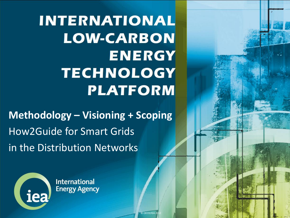**INTERNATIONAL LOW-CARBON ENERGY TECHNOLOGY PLATFORM** 

© OECD/IEA 2012

**Methodology – Visioning + Scoping** How2Guide for Smart Grids in the Distribution Networks



**International Energy Agency**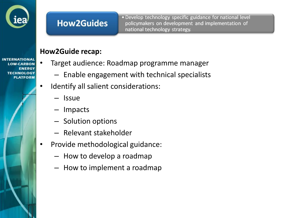

## **How2Guides**

· Develop technology specific guidance for national level policymakers on development and implementation of national technology strategy.

**TERNATIONAL LOW-CARRON** FNFRGY **TECHNOLOGY** ATEORN

#### **How2Guide recap:**

- Target audience: Roadmap programme manager
	- Enable engagement with technical specialists
- Identify all salient considerations:
	- Issue
	- Impacts
	- Solution options
	- Relevant stakeholder
- Provide methodological guidance:
	- How to develop a roadmap
	- How to implement a roadmap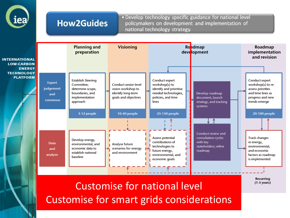

### **How2Guides**

. Develop technology specific guidance for national level policymakers on development and implementation of national technology strategy.



Customise for national level Customise for smart grids considerations

**Recurring**  $(1-5$  years)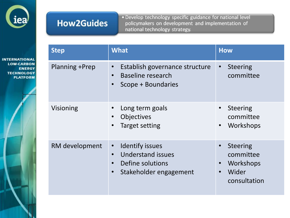

**INTERNATIO LOW-CARE** ENE **TECHNOL** 

## **How2Guides**

. Develop technology specific guidance for national level policymakers on development and implementation of national technology strategy.

| <b><i>INATIONAL</i></b><br>W-CARBON<br><b>ENFRGY</b><br><b>CHNOLOGY</b><br><b>PLATFORM</b> | <b>Step</b>      | <b>What</b>                                                                                                                                          | <b>How</b>                                                         |
|--------------------------------------------------------------------------------------------|------------------|------------------------------------------------------------------------------------------------------------------------------------------------------|--------------------------------------------------------------------|
|                                                                                            | Planning +Prep   | Establish governance structure<br>$\bullet$<br>Baseline research<br>$\bullet$<br>Scope + Boundaries<br>$\bullet$                                     | <b>Steering</b><br>committee                                       |
|                                                                                            | <b>Visioning</b> | Long term goals<br><b>Objectives</b><br>$\bullet$<br>Target setting<br>$\bullet$                                                                     | <b>Steering</b><br>committee<br>Workshops                          |
|                                                                                            | RM development   | <b>Identify issues</b><br>$\bullet$<br><b>Understand issues</b><br>$\bullet$<br>Define solutions<br>$\bullet$<br>Stakeholder engagement<br>$\bullet$ | <b>Steering</b><br>committee<br>Workshops<br>Wider<br>consultation |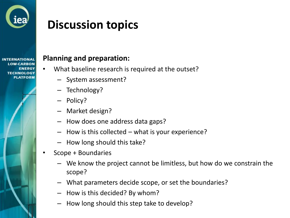

# **Discussion topics**

#### **Planning and preparation:**

- What baseline research is required at the outset?
	- System assessment?
	- Technology?
	- Policy?
	- Market design?
	- How does one address data gaps?
	- How is this collected what is your experience?
	- How long should this take?
- Scope + Boundaries
	- We know the project cannot be limitless, but how do we constrain the scope?
	- What parameters decide scope, or set the boundaries?
	- How is this decided? By whom?
	- How long should this step take to develop?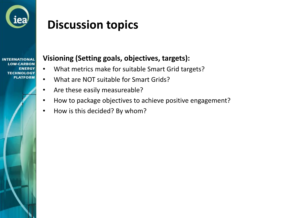

# **Discussion topics**

**ENERGY TECHNOLOGY** 

### **Visioning (Setting goals, objectives, targets):**

- What metrics make for suitable Smart Grid targets?
- What are NOT suitable for Smart Grids?
- Are these easily measureable?
- How to package objectives to achieve positive engagement?
- How is this decided? By whom?